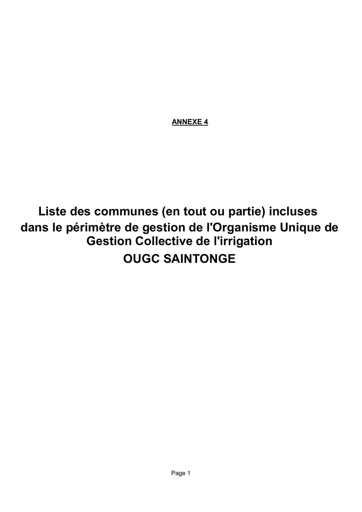ANNEXE 4

## Liste des communes (en tout ou partie) incluses OUGC SAINTONGE dans le périmètre de gestion de l'Organisme Unique de Gestion Collective de l'irrigation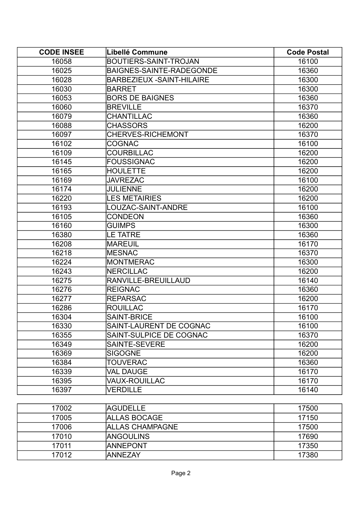| <b>CODE INSEE</b> | Libellé Commune                   | <b>Code Postal</b> |
|-------------------|-----------------------------------|--------------------|
| 16058             | <b>BOUTIERS-SAINT-TROJAN</b>      | 16100              |
| 16025             | BAIGNES-SAINTE-RADEGONDE          | 16360              |
| 16028             | <b>BARBEZIEUX - SAINT-HILAIRE</b> | 16300              |
| 16030             | <b>BARRET</b>                     | 16300              |
| 16053             | <b>BORS DE BAIGNES</b>            | 16360              |
| 16060             | <b>BREVILLE</b>                   | 16370              |
| 16079             | CHANTILLAC                        | 16360              |
| 16088             | <b>CHASSORS</b>                   | 16200              |
| 16097             | <b>CHERVES-RICHEMONT</b>          | 16370              |
| 16102             | <b>COGNAC</b>                     | 16100              |
| 16109             | COURBILLAC                        | 16200              |
| 16145             | <b>FOUSSIGNAC</b>                 | 16200              |
| 16165             | <b>HOULETTE</b>                   | 16200              |
| 16169             | <b>JAVREZAC</b>                   | 16100              |
| 16174             | <b>JULIENNE</b>                   | 16200              |
| 16220             | <b>LES METAIRIES</b>              | 16200              |
| 16193             | LOUZAC-SAINT-ANDRE                | 16100              |
| 16105             | <b>CONDEON</b>                    | 16360              |
| 16160             | <b>GUIMPS</b>                     | 16300              |
| 16380             | <b>LE TATRE</b>                   | 16360              |
| 16208             | <b>MAREUIL</b>                    | 16170              |
| 16218             | <b>MESNAC</b>                     | 16370              |
| 16224             | <b>MONTMERAC</b>                  | 16300              |
| 16243             | <b>NERCILLAC</b>                  | 16200              |
| 16275             | RANVILLE-BREUILLAUD               | 16140              |
| 16276             | <b>REIGNAC</b>                    | 16360              |
| 16277             | <b>REPARSAC</b>                   | 16200              |
| 16286             | <b>ROUILLAC</b>                   | 16170              |
| 16304             | <b>SAINT-BRICE</b>                | 16100              |
| 16330             | SAINT-LAURENT DE COGNAC           | 16100              |
| 16355             | SAINT-SULPICE DE COGNAC           | 16370              |
| 16349             | SAINTE-SEVERE                     | 16200              |
| 16369             | <b>SIGOGNE</b>                    | 16200              |
| 16384             | <b>TOUVERAC</b>                   | 16360              |
| 16339             | <b>VAL DAUGE</b>                  | 16170              |
| 16395             | <b>VAUX-ROUILLAC</b>              | 16170              |
| 16397             | <b>VERDILLE</b>                   | 16140              |

| 17002 | <b>AGUDELLE</b>        | 17500 |
|-------|------------------------|-------|
| 17005 | <b>ALLAS BOCAGE</b>    | 17150 |
| 17006 | <b>ALLAS CHAMPAGNE</b> | 17500 |
| 17010 | <b>ANGOULINS</b>       | 17690 |
| 17011 | <b>ANNEPONT</b>        | 17350 |
| 17012 | IANNEZAY               | 17380 |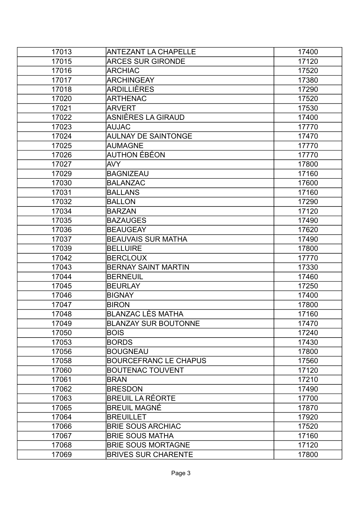| 17013 | ANTEZANT LA CHAPELLE         | 17400 |
|-------|------------------------------|-------|
| 17015 | <b>ARCES SUR GIRONDE</b>     | 17120 |
| 17016 | <b>ARCHIAC</b>               | 17520 |
| 17017 | <b>ARCHINGEAY</b>            | 17380 |
| 17018 | <b>ARDILLIÈRES</b>           | 17290 |
| 17020 | <b>ARTHENAC</b>              | 17520 |
| 17021 | <b>ARVERT</b>                | 17530 |
| 17022 | ASNIÈRES LA GIRAUD           | 17400 |
| 17023 | <b>AUJAC</b>                 | 17770 |
| 17024 | <b>AULNAY DE SAINTONGE</b>   | 17470 |
| 17025 | <b>AUMAGNE</b>               | 17770 |
| 17026 | AUTHON ÉBÉON                 | 17770 |
| 17027 | <b>AVY</b>                   | 17800 |
| 17029 | <b>BAGNIZEAU</b>             | 17160 |
| 17030 | <b>BALANZAC</b>              | 17600 |
| 17031 | <b>BALLANS</b>               | 17160 |
| 17032 | <b>BALLON</b>                | 17290 |
| 17034 | <b>BARZAN</b>                | 17120 |
| 17035 | <b>BAZAUGES</b>              | 17490 |
| 17036 | <b>BEAUGEAY</b>              | 17620 |
| 17037 | <b>BEAUVAIS SUR MATHA</b>    | 17490 |
| 17039 | <b>BELLUIRE</b>              | 17800 |
| 17042 | <b>BERCLOUX</b>              | 17770 |
| 17043 | <b>BERNAY SAINT MARTIN</b>   | 17330 |
| 17044 | <b>BERNEUIL</b>              | 17460 |
| 17045 | <b>BEURLAY</b>               | 17250 |
| 17046 | <b>BIGNAY</b>                | 17400 |
| 17047 | <b>BIRON</b>                 | 17800 |
| 17048 | <b>BLANZAC LÈS MATHA</b>     | 17160 |
| 17049 | <b>BLANZAY SUR BOUTONNE</b>  | 17470 |
| 17050 | <b>BOIS</b>                  | 17240 |
| 17053 | <b>BORDS</b>                 | 17430 |
| 17056 | <b>BOUGNEAU</b>              | 17800 |
| 17058 | <b>BOURCEFRANC LE CHAPUS</b> | 17560 |
| 17060 | <b>BOUTENAC TOUVENT</b>      | 17120 |
| 17061 | <b>BRAN</b>                  | 17210 |
| 17062 | <b>BRESDON</b>               | 17490 |
| 17063 | <b>BREUIL LA RÉORTE</b>      | 17700 |
| 17065 | <b>BREUIL MAGNÉ</b>          | 17870 |
| 17064 | <b>BREUILLET</b>             | 17920 |
| 17066 | <b>BRIE SOUS ARCHIAC</b>     | 17520 |
| 17067 | <b>BRIE SOUS MATHA</b>       | 17160 |
| 17068 | <b>BRIE SOUS MORTAGNE</b>    | 17120 |
| 17069 | <b>BRIVES SUR CHARENTE</b>   | 17800 |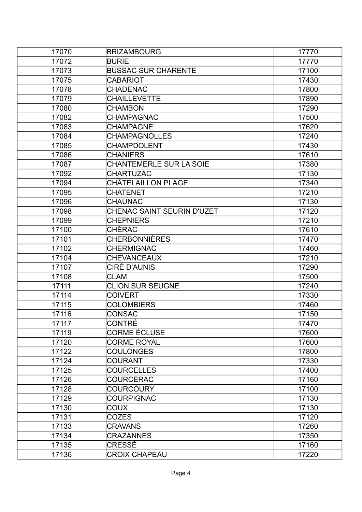| 17070 | <b>BRIZAMBOURG</b>             | 17770 |
|-------|--------------------------------|-------|
| 17072 | <b>BURIE</b>                   | 17770 |
| 17073 | <b>BUSSAC SUR CHARENTE</b>     | 17100 |
| 17075 | CABARIOT                       | 17430 |
| 17078 | <b>CHADENAC</b>                | 17800 |
| 17079 | <b>CHAILLEVETTE</b>            | 17890 |
| 17080 | <b>CHAMBON</b>                 | 17290 |
| 17082 | <b>CHAMPAGNAC</b>              | 17500 |
| 17083 | <b>CHAMPAGNE</b>               | 17620 |
| 17084 | <b>CHAMPAGNOLLES</b>           | 17240 |
| 17085 | CHAMPDOLENT                    | 17430 |
| 17086 | <b>CHANIERS</b>                | 17610 |
| 17087 | <b>CHANTEMERLE SUR LA SOIE</b> | 17380 |
| 17092 | <b>CHARTUZAC</b>               | 17130 |
| 17094 | CHÂTELAILLON PLAGE             | 17340 |
| 17095 | <b>CHATENET</b>                | 17210 |
| 17096 | <b>CHAUNAC</b>                 | 17130 |
| 17098 | CHENAC SAINT SEURIN D'UZET     | 17120 |
| 17099 | <b>CHEPNIERS</b>               | 17210 |
| 17100 | CHÉRAC                         | 17610 |
| 17101 | CHERBONNIÈRES                  | 17470 |
| 17102 | <b>CHERMIGNAC</b>              | 17460 |
| 17104 | <b>CHEVANCEAUX</b>             | 17210 |
| 17107 | CIRÉ D'AUNIS                   | 17290 |
| 17108 | <b>CLAM</b>                    | 17500 |
| 17111 | <b>CLION SUR SEUGNE</b>        | 17240 |
| 17114 | <b>COIVERT</b>                 | 17330 |
| 17115 | <b>COLOMBIERS</b>              | 17460 |
| 17116 | CONSAC                         | 17150 |
| 17117 | <b>CONTRÉ</b>                  | 17470 |
| 17119 | CORME ÉCLUSE                   | 17600 |
| 17120 | <b>CORME ROYAL</b>             | 17600 |
| 17122 | <b>COULONGES</b>               | 17800 |
| 17124 | COURANT                        | 17330 |
| 17125 | <b>COURCELLES</b>              | 17400 |
| 17126 | <b>COURCERAC</b>               | 17160 |
| 17128 | <b>COURCOURY</b>               | 17100 |
| 17129 | <b>COURPIGNAC</b>              | 17130 |
| 17130 | COUX                           | 17130 |
| 17131 | <b>COZES</b>                   | 17120 |
| 17133 | <b>CRAVANS</b>                 | 17260 |
| 17134 | <b>CRAZANNES</b>               | 17350 |
| 17135 | CRESSÉ                         | 17160 |
| 17136 | <b>CROIX CHAPEAU</b>           | 17220 |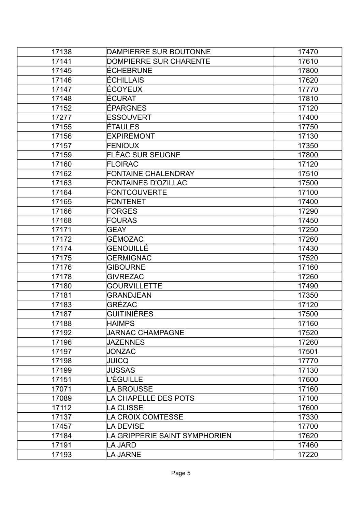| 17138 | DAMPIERRE SUR BOUTONNE        | 17470 |
|-------|-------------------------------|-------|
| 17141 | <b>DOMPIERRE SUR CHARENTE</b> | 17610 |
| 17145 | <b>ÉCHEBRUNE</b>              | 17800 |
| 17146 | ÉCHILLAIS                     | 17620 |
| 17147 | ÉCOYEUX                       | 17770 |
| 17148 | ÉCURAT                        | 17810 |
| 17152 | <b>ÉPARGNES</b>               | 17120 |
| 17277 | <b>ESSOUVERT</b>              | 17400 |
| 17155 | ÉTAULES                       | 17750 |
| 17156 | <b>EXPIREMONT</b>             | 17130 |
| 17157 | <b>FENIOUX</b>                | 17350 |
| 17159 | <b>FLÉAC SUR SEUGNE</b>       | 17800 |
| 17160 | <b>FLOIRAC</b>                | 17120 |
| 17162 | <b>FONTAINE CHALENDRAY</b>    | 17510 |
| 17163 | <b>FONTAINES D'OZILLAC</b>    | 17500 |
| 17164 | <b>FONTCOUVERTE</b>           | 17100 |
| 17165 | <b>FONTENET</b>               | 17400 |
| 17166 | <b>FORGES</b>                 | 17290 |
| 17168 | <b>FOURAS</b>                 | 17450 |
| 17171 | <b>GEAY</b>                   | 17250 |
| 17172 | GÉMOZAC                       | 17260 |
| 17174 | GENOUILLÉ                     | 17430 |
| 17175 | <b>GERMIGNAC</b>              | 17520 |
| 17176 | <b>GIBOURNE</b>               | 17160 |
| 17178 | <b>GIVREZAC</b>               | 17260 |
| 17180 | <b>GOURVILLETTE</b>           | 17490 |
| 17181 | <b>GRANDJEAN</b>              | 17350 |
| 17183 | GRÉZAC                        | 17120 |
| 17187 | GUITINIÈRES                   | 17500 |
| 17188 | <b>HAIMPS</b>                 | 17160 |
| 17192 | <b>JARNAC CHAMPAGNE</b>       | 17520 |
| 17196 | <b>JAZENNES</b>               | 17260 |
| 17197 | <b>JONZAC</b>                 | 17501 |
| 17198 | <b>JUICQ</b>                  | 17770 |
| 17199 | <b>JUSSAS</b>                 | 17130 |
| 17151 | L'ÉGUILLE                     | 17600 |
| 17071 | <b>LA BROUSSE</b>             | 17160 |
| 17089 | LA CHAPELLE DES POTS          | 17100 |
| 17112 | <b>LA CLISSE</b>              | 17600 |
| 17137 | LA CROIX COMTESSE             | 17330 |
| 17457 | LA DEVISE                     | 17700 |
| 17184 | LA GRIPPERIE SAINT SYMPHORIEN | 17620 |
| 17191 | LA JARD                       | 17460 |
| 17193 | <b>LA JARNE</b>               | 17220 |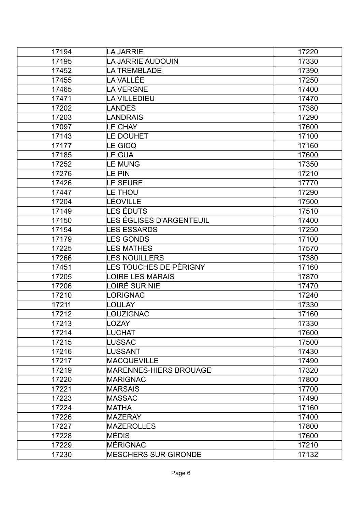| 17194 | <b>LA JARRIE</b>              | 17220 |
|-------|-------------------------------|-------|
| 17195 | LA JARRIE AUDOUIN             | 17330 |
| 17452 | <b>LA TREMBLADE</b>           | 17390 |
| 17455 | LA VALLÉE                     | 17250 |
| 17465 | <b>LA VERGNE</b>              | 17400 |
| 17471 | <b>LA VILLEDIEU</b>           | 17470 |
| 17202 | <b>LANDES</b>                 | 17380 |
| 17203 | <b>LANDRAIS</b>               | 17290 |
| 17097 | <b>LE CHAY</b>                | 17600 |
| 17143 | LE DOUHET                     | 17100 |
| 17177 | <b>LE GICQ</b>                | 17160 |
| 17185 | <b>LE GUA</b>                 | 17600 |
| 17252 | <b>LE MUNG</b>                | 17350 |
| 17276 | <b>LE PIN</b>                 | 17210 |
| 17426 | LE SEURE                      | 17770 |
| 17447 | LE THOU                       | 17290 |
| 17204 | LÉOVILLE                      | 17500 |
| 17149 | LES ÉDUTS                     | 17510 |
| 17150 | LES ÉGLISES D'ARGENTEUIL      | 17400 |
| 17154 | <b>LES ESSARDS</b>            | 17250 |
| 17179 | <b>LES GONDS</b>              | 17100 |
| 17225 | <b>LES MATHES</b>             | 17570 |
| 17266 | <b>LES NOUILLERS</b>          | 17380 |
| 17451 | LES TOUCHES DE PÉRIGNY        | 17160 |
| 17205 | <b>LOIRE LES MARAIS</b>       | 17870 |
| 17206 | LOIRÉ SUR NIE                 | 17470 |
| 17210 | <b>LORIGNAC</b>               | 17240 |
| 17211 | <b>LOULAY</b>                 | 17330 |
| 17212 | LOUZIGNAC                     | 17160 |
| 17213 | <b>LOZAY</b>                  | 17330 |
| 17214 | <b>LUCHAT</b>                 | 17600 |
| 17215 | <b>LUSSAC</b>                 | 17500 |
| 17216 | <b>LUSSANT</b>                | 17430 |
| 17217 | <b>MACQUEVILLE</b>            | 17490 |
| 17219 | <b>MARENNES-HIERS BROUAGE</b> | 17320 |
| 17220 | <b>MARIGNAC</b>               | 17800 |
| 17221 | <b>MARSAIS</b>                | 17700 |
| 17223 | <b>MASSAC</b>                 | 17490 |
| 17224 | <b>MATHA</b>                  | 17160 |
| 17226 | <b>MAZERAY</b>                | 17400 |
| 17227 | <b>MAZEROLLES</b>             | 17800 |
| 17228 | IMÉDIS                        | 17600 |
| 17229 | MÉRIGNAC                      | 17210 |
| 17230 | <b>MESCHERS SUR GIRONDE</b>   | 17132 |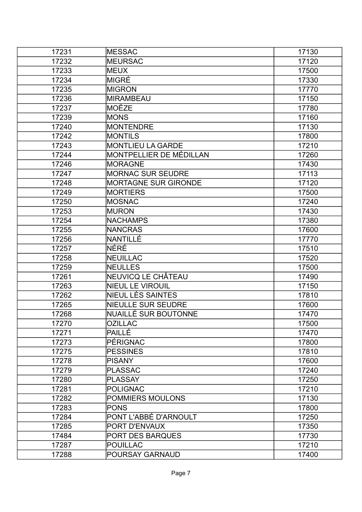| 17231 | <b>IMESSAC</b>              | 17130 |
|-------|-----------------------------|-------|
| 17232 | <b>MEURSAC</b>              | 17120 |
| 17233 | MEUX                        | 17500 |
| 17234 | <b>MIGRÉ</b>                | 17330 |
| 17235 | MIGRON                      | 17770 |
| 17236 | <b>MIRAMBEAU</b>            | 17150 |
| 17237 | <b>MOËZE</b>                | 17780 |
| 17239 | <b>MONS</b>                 | 17160 |
| 17240 | <b>MONTENDRE</b>            | 17130 |
| 17242 | <b>MONTILS</b>              | 17800 |
| 17243 | <b>MONTLIEU LA GARDE</b>    | 17210 |
| 17244 | MONTPELLIER DE MÉDILLAN     | 17260 |
| 17246 | <b>MORAGNE</b>              | 17430 |
| 17247 | <b>MORNAC SUR SEUDRE</b>    | 17113 |
| 17248 | <b>MORTAGNE SUR GIRONDE</b> | 17120 |
| 17249 | <b>MORTIERS</b>             | 17500 |
| 17250 | MOSNAC                      | 17240 |
| 17253 | <b>MURON</b>                | 17430 |
| 17254 | <b>NACHAMPS</b>             | 17380 |
| 17255 | <b>NANCRAS</b>              | 17600 |
| 17256 | NANTILLÉ                    | 17770 |
| 17257 | NÉRÉ                        | 17510 |
| 17258 | <b>NEUILLAC</b>             | 17520 |
| 17259 | <b>NEULLES</b>              | 17500 |
| 17261 | NEUVICQ LE CHÂTEAU          | 17490 |
| 17263 | <b>NIEUL LE VIROUIL</b>     | 17150 |
| 17262 | NIEUL LÈS SAINTES           | 17810 |
| 17265 | <b>NIEULLE SUR SEUDRE</b>   | 17600 |
| 17268 | <b>NUAILLÉ SUR BOUTONNE</b> | 17470 |
| 17270 | <b>OZILLAC</b>              | 17500 |
| 17271 | PAILLÉ                      | 17470 |
| 17273 | PÉRIGNAC                    | 17800 |
| 17275 | <b>PESSINES</b>             | 17810 |
| 17278 | <b>PISANY</b>               | 17600 |
| 17279 | <b>PLASSAC</b>              | 17240 |
| 17280 | <b>PLASSAY</b>              | 17250 |
| 17281 | <b>POLIGNAC</b>             | 17210 |
| 17282 | POMMIERS MOULONS            | 17130 |
| 17283 | <b>PONS</b>                 | 17800 |
| 17284 | PONT L'ABBÉ D'ARNOULT       | 17250 |
| 17285 | PORT D'ENVAUX               | 17350 |
| 17484 | <b>PORT DES BARQUES</b>     | 17730 |
| 17287 | <b>POUILLAC</b>             | 17210 |
| 17288 | <b>POURSAY GARNAUD</b>      | 17400 |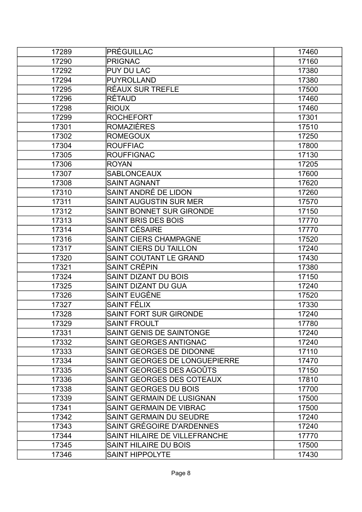| 17289 | <b>PRÉGUILLAC</b>               | 17460 |
|-------|---------------------------------|-------|
| 17290 | <b>PRIGNAC</b>                  | 17160 |
| 17292 | <b>PUY DU LAC</b>               | 17380 |
| 17294 | <b>PUYROLLAND</b>               | 17380 |
| 17295 | RÉAUX SUR TREFLE                | 17500 |
| 17296 | <b>RÉTAUD</b>                   | 17460 |
| 17298 | <b>RIOUX</b>                    | 17460 |
| 17299 | <b>ROCHEFORT</b>                | 17301 |
| 17301 | <b>ROMAZIÈRES</b>               | 17510 |
| 17302 | <b>ROMEGOUX</b>                 | 17250 |
| 17304 | <b>ROUFFIAC</b>                 | 17800 |
| 17305 | <b>ROUFFIGNAC</b>               | 17130 |
| 17306 | <b>ROYAN</b>                    | 17205 |
| 17307 | <b>SABLONCEAUX</b>              | 17600 |
| 17308 | <b>SAINT AGNANT</b>             | 17620 |
| 17310 | SAINT ANDRÉ DE LIDON            | 17260 |
| 17311 | <b>SAINT AUGUSTIN SUR MER</b>   | 17570 |
| 17312 | <b>SAINT BONNET SUR GIRONDE</b> | 17150 |
| 17313 | SAINT BRIS DES BOIS             | 17770 |
| 17314 | SAINT CÉSAIRE                   | 17770 |
| 17316 | <b>SAINT CIERS CHAMPAGNE</b>    | 17520 |
| 17317 | <b>SAINT CIERS DU TAILLON</b>   | 17240 |
| 17320 | SAINT COUTANT LE GRAND          | 17430 |
| 17321 | SAINT CRÉPIN                    | 17380 |
| 17324 | SAINT DIZANT DU BOIS            | 17150 |
| 17325 | <b>SAINT DIZANT DU GUA</b>      | 17240 |
| 17326 | SAINT EUGÈNE                    | 17520 |
| 17327 | SAINT FÉLIX                     | 17330 |
| 17328 | <b>SAINT FORT SUR GIRONDE</b>   | 17240 |
| 17329 | <b>SAINT FROULT</b>             | 17780 |
| 17331 | SAINT GENIS DE SAINTONGE        | 17240 |
| 17332 | SAINT GEORGES ANTIGNAC          | 17240 |
| 17333 | SAINT GEORGES DE DIDONNE        | 17110 |
| 17334 | SAINT GEORGES DE LONGUEPIERRE   | 17470 |
| 17335 | SAINT GEORGES DES AGOÛTS        | 17150 |
| 17336 | SAINT GEORGES DES COTEAUX       | 17810 |
| 17338 | SAINT GEORGES DU BOIS           | 17700 |
| 17339 | SAINT GERMAIN DE LUSIGNAN       | 17500 |
| 17341 | <b>SAINT GERMAIN DE VIBRAC</b>  | 17500 |
| 17342 | SAINT GERMAIN DU SEUDRE         | 17240 |
| 17343 | SAINT GRÉGOIRE D'ARDENNES       | 17240 |
| 17344 | SAINT HILAIRE DE VILLEFRANCHE   | 17770 |
| 17345 | <b>SAINT HILAIRE DU BOIS</b>    | 17500 |
| 17346 | <b>SAINT HIPPOLYTE</b>          | 17430 |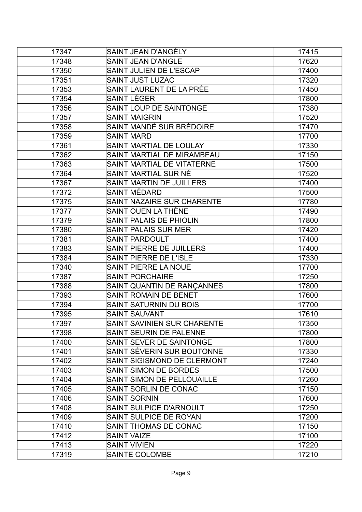| 17347 | SAINT JEAN D'ANGÉLY                | 17415 |
|-------|------------------------------------|-------|
| 17348 | <b>SAINT JEAN D'ANGLE</b>          | 17620 |
| 17350 | SAINT JULIEN DE L'ESCAP            | 17400 |
| 17351 | <b>SAINT JUST LUZAC</b>            | 17320 |
| 17353 | SAINT LAURENT DE LA PRÉE           | 17450 |
| 17354 | SAINT LÉGER                        | 17800 |
| 17356 | <b>SAINT LOUP DE SAINTONGE</b>     | 17380 |
| 17357 | <b>SAINT MAIGRIN</b>               | 17520 |
| 17358 | SAINT MANDÉ SUR BRÉDOIRE           | 17470 |
| 17359 | <b>SAINT MARD</b>                  | 17700 |
| 17361 | SAINT MARTIAL DE LOULAY            | 17330 |
| 17362 | SAINT MARTIAL DE MIRAMBEAU         | 17150 |
| 17363 | SAINT MARTIAL DE VITATERNE         | 17500 |
| 17364 | SAINT MARTIAL SUR NÉ               | 17520 |
| 17367 | <b>SAINT MARTIN DE JUILLERS</b>    | 17400 |
| 17372 | SAINT MÉDARD                       | 17500 |
| 17375 | SAINT NAZAIRE SUR CHARENTE         | 17780 |
| 17377 | SAINT OUEN LA THÈNE                | 17490 |
| 17379 | SAINT PALAIS DE PHIOLIN            | 17800 |
| 17380 | <b>SAINT PALAIS SUR MER</b>        | 17420 |
| 17381 | <b>SAINT PARDOULT</b>              | 17400 |
| 17383 | SAINT PIERRE DE JUILLERS           | 17400 |
| 17384 | <b>SAINT PIERRE DE L'ISLE</b>      | 17330 |
| 17340 | SAINT PIERRE LA NOUE               | 17700 |
| 17387 | <b>SAINT PORCHAIRE</b>             | 17250 |
| 17388 | SAINT QUANTIN DE RANÇANNES         | 17800 |
| 17393 | SAINT ROMAIN DE BENET              | 17600 |
| 17394 | <b>SAINT SATURNIN DU BOIS</b>      | 17700 |
| 17395 | <b>SAINT SAUVANT</b>               | 17610 |
| 17397 | <b>SAINT SAVINIEN SUR CHARENTE</b> | 17350 |
| 17398 | <b>SAINT SEURIN DE PALENNE</b>     | 17800 |
| 17400 | SAINT SEVER DE SAINTONGE           | 17800 |
| 17401 | SAINT SÉVERIN SUR BOUTONNE         | 17330 |
| 17402 | SAINT SIGISMOND DE CLERMONT        | 17240 |
| 17403 | <b>SAINT SIMON DE BORDES</b>       | 17500 |
| 17404 | SAINT SIMON DE PELLOUAILLE         | 17260 |
| 17405 | SAINT SORLIN DE CONAC              | 17150 |
| 17406 | <b>SAINT SORNIN</b>                | 17600 |
| 17408 | <b>SAINT SULPICE D'ARNOULT</b>     | 17250 |
| 17409 | SAINT SULPICE DE ROYAN             | 17200 |
| 17410 | SAINT THOMAS DE CONAC              | 17150 |
| 17412 | <b>SAINT VAIZE</b>                 | 17100 |
| 17413 | <b>SAINT VIVIEN</b>                | 17220 |
| 17319 | <b>SAINTE COLOMBE</b>              | 17210 |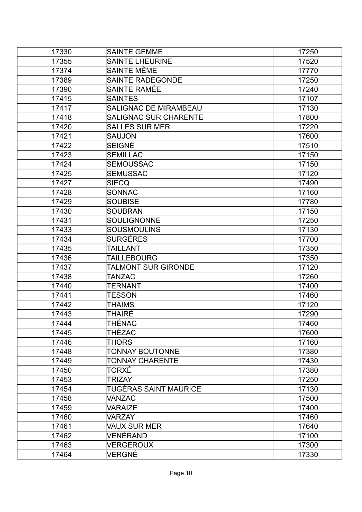| 17330 | <b>SAINTE GEMME</b>          | 17250 |
|-------|------------------------------|-------|
| 17355 | <b>SAINTE LHEURINE</b>       | 17520 |
| 17374 | SAINTE MÊME                  | 17770 |
| 17389 | <b>SAINTE RADEGONDE</b>      | 17250 |
| 17390 | SAINTE RAMÉE                 | 17240 |
| 17415 | <b>SAINTES</b>               | 17107 |
| 17417 | SALIGNAC DE MIRAMBEAU        | 17130 |
| 17418 | <b>SALIGNAC SUR CHARENTE</b> | 17800 |
| 17420 | <b>SALLES SUR MER</b>        | 17220 |
| 17421 | <b>SAUJON</b>                | 17600 |
| 17422 | SEIGNÉ                       | 17510 |
| 17423 | <b>SEMILLAC</b>              | 17150 |
| 17424 | <b>SEMOUSSAC</b>             | 17150 |
| 17425 | <b>SEMUSSAC</b>              | 17120 |
| 17427 | <b>SIECQ</b>                 | 17490 |
| 17428 | <b>SONNAC</b>                | 17160 |
| 17429 | <b>SOUBISE</b>               | 17780 |
| 17430 | <b>SOUBRAN</b>               | 17150 |
| 17431 | <b>SOULIGNONNE</b>           | 17250 |
| 17433 | <b>SOUSMOULINS</b>           | 17130 |
| 17434 | SURGÈRES                     | 17700 |
| 17435 | TAILLANT                     | 17350 |
| 17436 | <b>TAILLEBOURG</b>           | 17350 |
| 17437 | <b>TALMONT SUR GIRONDE</b>   | 17120 |
| 17438 | TANZAC                       | 17260 |
| 17440 | TERNANT                      | 17400 |
| 17441 | TESSON                       | 17460 |
| 17442 | <b>THAIMS</b>                | 17120 |
| 17443 | THAIRÉ                       | 17290 |
| 17444 | THÉNAC                       | 17460 |
| 17445 | THÉZAC                       | 17600 |
| 17446 | THORS                        | 17160 |
| 17448 | <b>TONNAY BOUTONNE</b>       | 17380 |
| 17449 | <b>TONNAY CHARENTE</b>       | 17430 |
| 17450 | TORXÉ                        | 17380 |
| 17453 | <b>TRIZAY</b>                | 17250 |
| 17454 | TUGÉRAS SAINT MAURICE        | 17130 |
| 17458 | VANZAC                       | 17500 |
| 17459 | VARAIZE                      | 17400 |
| 17460 | <b>VARZAY</b>                | 17460 |
| 17461 | <b>VAUX SUR MER</b>          | 17640 |
| 17462 | VÉNÉRAND                     | 17100 |
| 17463 | <b>VERGEROUX</b>             | 17300 |
| 17464 | VERGNÉ                       | 17330 |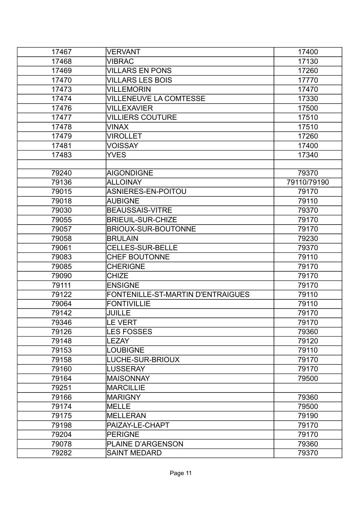| 17467 | <b>VERVANT</b>                    | 17400       |
|-------|-----------------------------------|-------------|
| 17468 | VIBRAC                            | 17130       |
| 17469 | <b>VILLARS EN PONS</b>            | 17260       |
| 17470 | <b>VILLARS LES BOIS</b>           | 17770       |
| 17473 | <b>VILLEMORIN</b>                 | 17470       |
| 17474 | <b>VILLENEUVE LA COMTESSE</b>     | 17330       |
| 17476 | <b>VILLEXAVIER</b>                | 17500       |
| 17477 | <b>VILLIERS COUTURE</b>           | 17510       |
| 17478 | VINAX                             | 17510       |
| 17479 | <b>VIROLLET</b>                   | 17260       |
| 17481 | VOISSAY                           | 17400       |
| 17483 | <b>YVES</b>                       | 17340       |
|       |                                   |             |
| 79240 | <b>AIGONDIGNE</b>                 | 79370       |
| 79136 | <b>ALLOINAY</b>                   | 79110/79190 |
| 79015 | ASNIERES-EN-POITOU                | 79170       |
| 79018 | <b>AUBIGNE</b>                    | 79110       |
| 79030 | <b>BEAUSSAIS-VITRE</b>            | 79370       |
| 79055 | <b>BRIEUIL-SUR-CHIZE</b>          | 79170       |
| 79057 | <b>BRIOUX-SUR-BOUTONNE</b>        | 79170       |
| 79058 | <b>BRULAIN</b>                    | 79230       |
| 79061 | <b>CELLES-SUR-BELLE</b>           | 79370       |
| 79083 | <b>CHEF BOUTONNE</b>              | 79110       |
| 79085 | <b>CHERIGNE</b>                   | 79170       |
| 79090 | <b>CHIZE</b>                      | 79170       |
| 79111 | <b>ENSIGNE</b>                    | 79170       |
| 79122 | FONTENILLE-ST-MARTIN D'ENTRAIGUES | 79110       |
| 79064 | <b>FONTIVILLIE</b>                | 79110       |
| 79142 | JUILLE                            | 79170       |
| 79346 | <b>LE VERT</b>                    | 79170       |
| 79126 | <b>LES FOSSES</b>                 | 79360       |
| 79148 | <b>LEZAY</b>                      | 79120       |
| 79153 | <b>LOUBIGNE</b>                   | 79110       |
| 79158 | LUCHE-SUR-BRIOUX                  | 79170       |
| 79160 | LUSSERAY                          | 79170       |
| 79164 | <b>MAISONNAY</b>                  | 79500       |
| 79251 | <b>MARCILLIE</b>                  |             |
| 79166 | <b>MARIGNY</b>                    | 79360       |
| 79174 | MELLE                             | 79500       |
| 79175 | <b>MELLERAN</b>                   | 79190       |
| 79198 | PAIZAY-LE-CHAPT                   | 79170       |
| 79204 | <b>PERIGNE</b>                    | 79170       |
| 79078 | PLAINE D'ARGENSON                 | 79360       |
| 79282 | <b>SAINT MEDARD</b>               | 79370       |